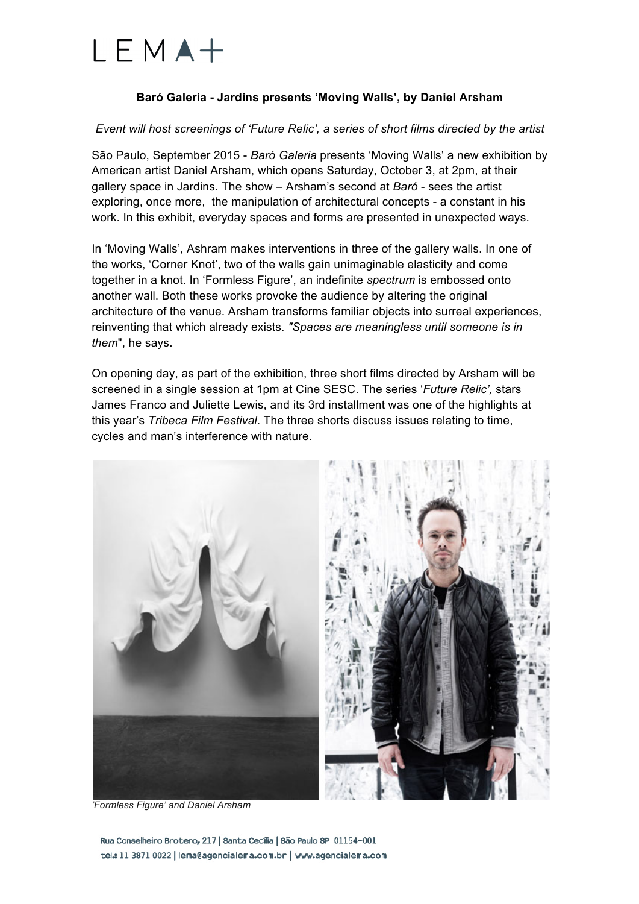

## **Baró Galeria - Jardins presents 'Moving Walls', by Daniel Arsham**

#### *Event will host screenings of 'Future Relic', a series of short films directed by the artist*

São Paulo, September 2015 - *Baró Galeria* presents 'Moving Walls' a new exhibition by American artist Daniel Arsham, which opens Saturday, October 3, at 2pm, at their gallery space in Jardins. The show – Arsham's second at *Baró* - sees the artist exploring, once more, the manipulation of architectural concepts - a constant in his work. In this exhibit, everyday spaces and forms are presented in unexpected ways.

In 'Moving Walls', Ashram makes interventions in three of the gallery walls. In one of the works, 'Corner Knot', two of the walls gain unimaginable elasticity and come together in a knot. In 'Formless Figure', an indefinite *spectrum* is embossed onto another wall. Both these works provoke the audience by altering the original architecture of the venue. Arsham transforms familiar objects into surreal experiences, reinventing that which already exists. *"Spaces are meaningless until someone is in them*", he says.

On opening day, as part of the exhibition, three short films directed by Arsham will be screened in a single session at 1pm at Cine SESC. The series '*Future Relic',* stars James Franco and Juliette Lewis, and its 3rd installment was one of the highlights at this year's *Tribeca Film Festival*. The three shorts discuss issues relating to time, cycles and man's interference with nature.



*'Formless Figure' and Daniel Arsham* 

Rua Conselheiro Brotero, 217 | Santa Cecília | São Paulo SP 01154-001 tel.: 11 3871 0022 | lema@agencialema.com.br | www.agencialema.com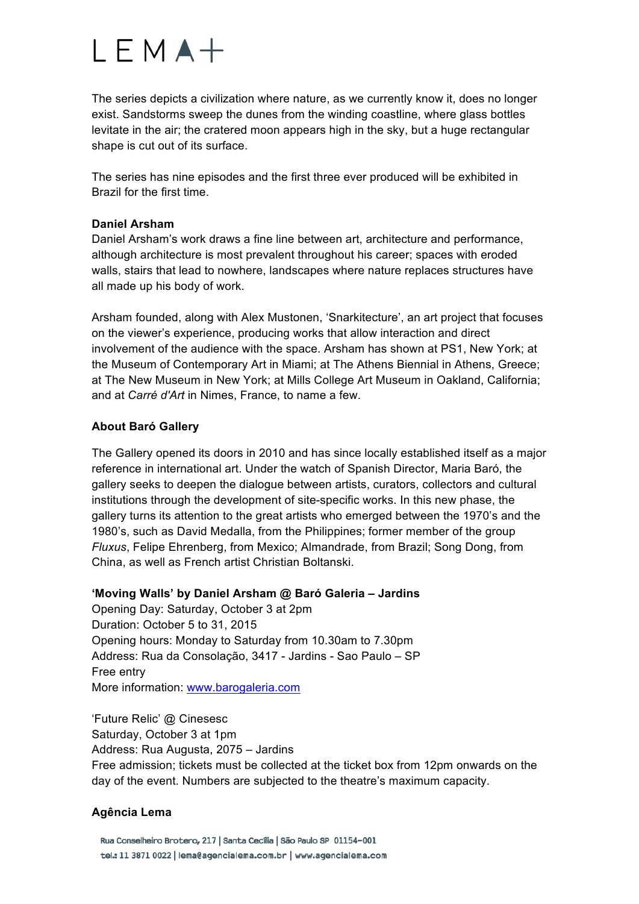# $LEMA+$

The series depicts a civilization where nature, as we currently know it, does no longer exist. Sandstorms sweep the dunes from the winding coastline, where glass bottles levitate in the air; the cratered moon appears high in the sky, but a huge rectangular shape is cut out of its surface.

The series has nine episodes and the first three ever produced will be exhibited in Brazil for the first time.

### **Daniel Arsham**

Daniel Arsham's work draws a fine line between art, architecture and performance, although architecture is most prevalent throughout his career; spaces with eroded walls, stairs that lead to nowhere, landscapes where nature replaces structures have all made up his body of work.

Arsham founded, along with Alex Mustonen, 'Snarkitecture', an art project that focuses on the viewer's experience, producing works that allow interaction and direct involvement of the audience with the space. Arsham has shown at PS1, New York; at the Museum of Contemporary Art in Miami; at The Athens Biennial in Athens, Greece; at The New Museum in New York; at Mills College Art Museum in Oakland, California; and at *Carré d'Art* in Nimes, France, to name a few.

## **About Baró Gallery**

The Gallery opened its doors in 2010 and has since locally established itself as a major reference in international art. Under the watch of Spanish Director, Maria Baró, the gallery seeks to deepen the dialogue between artists, curators, collectors and cultural institutions through the development of site-specific works. In this new phase, the gallery turns its attention to the great artists who emerged between the 1970's and the 1980's, such as David Medalla, from the Philippines; former member of the group *Fluxus*, Felipe Ehrenberg, from Mexico; Almandrade, from Brazil; Song Dong, from China, as well as French artist Christian Boltanski.

#### **'Moving Walls' by Daniel Arsham @ Baró Galeria – Jardins**

Opening Day: Saturday, October 3 at 2pm Duration: October 5 to 31, 2015 Opening hours: Monday to Saturday from 10.30am to 7.30pm Address: Rua da Consolação, 3417 - Jardins - Sao Paulo – SP Free entry More information: www.barogaleria.com

'Future Relic' @ Cinesesc Saturday, October 3 at 1pm Address: Rua Augusta, 2075 – Jardins Free admission; tickets must be collected at the ticket box from 12pm onwards on the day of the event. Numbers are subjected to the theatre's maximum capacity.

# **Agência Lema**

Rua Conselheiro Brotero, 217 | Santa Cecília | São Paulo SP 01154-001 tel.: 11 3871 0022 | lema@agencialema.com.br | www.agencialema.com